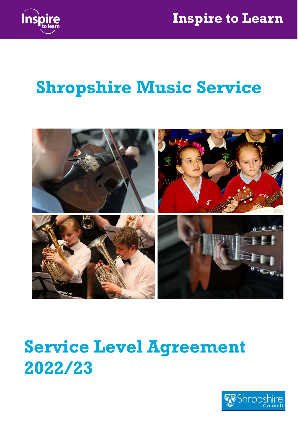



# Shropshire Music Service



# Service Level Agreement 2022/23

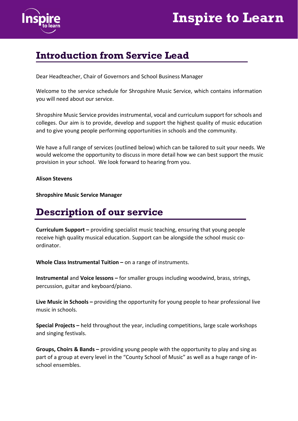

## Introduction from Service Lead

Dear Headteacher, Chair of Governors and School Business Manager

Welcome to the service schedule for Shropshire Music Service, which contains information you will need about our service.

Shropshire Music Service provides instrumental, vocal and curriculum support for schools and colleges. Our aim is to provide, develop and support the highest quality of music education and to give young people performing opportunities in schools and the community.

We have a full range of services (outlined below) which can be tailored to suit your needs. We would welcome the opportunity to discuss in more detail how we can best support the music provision in your school. We look forward to hearing from you.

Alison Stevens

Shropshire Music Service Manager

## Description of our service

Curriculum Support – providing specialist music teaching, ensuring that young people receive high quality musical education. Support can be alongside the school music coordinator.

Whole Class Instrumental Tuition – on a range of instruments.

Instrumental and Voice lessons – for smaller groups including woodwind, brass, strings, percussion, guitar and keyboard/piano.

Live Music in Schools – providing the opportunity for young people to hear professional live music in schools.

Special Projects – held throughout the year, including competitions, large scale workshops and singing festivals.

Groups, Choirs & Bands – providing young people with the opportunity to play and sing as part of a group at every level in the "County School of Music" as well as a huge range of inschool ensembles.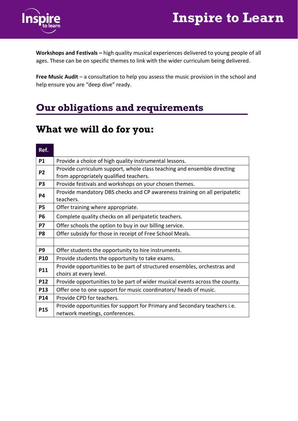## Inspire to Learn



Workshops and Festivals – high quality musical experiences delivered to young people of all ages. These can be on specific themes to link with the wider curriculum being delivered.

Free Music Audit – a consultation to help you assess the music provision in the school and help ensure you are "deep dive" ready.

## Our obligations and requirements

### What we will do for you:

#### Ref. **P1** Provide a choice of high quality instrumental lessons. **P2** Provide curriculum support, whole class teaching and ensemble directing from appropriately qualified teachers. **P3** Provide festivals and workshops on your chosen themes. **P4** Provide mandatory DBS checks and CP awareness training on all peripatetic teachers. **P5** | Offer training where appropriate. **P6** Complete quality checks on all peripatetic teachers. **P7**  $\Box$  Offer schools the option to buy in our billing service. **P8**  $\Box$  Offer subsidy for those in receipt of Free School Meals. **P9**  $\Box$  Offer students the opportunity to hire instruments. **P10** Provide students the opportunity to take exams. **P11** Provide opportunities to be part of structured ensembles, orchestras and choirs at every level. **P12** Provide opportunities to be part of wider musical events across the county. **P13**  $\vert$  Offer one to one support for music coordinators/ heads of music. P14 | Provide CPD for teachers. **P15** Provide opportunities for support for Primary and Secondary teachers i.e. network meetings, conferences.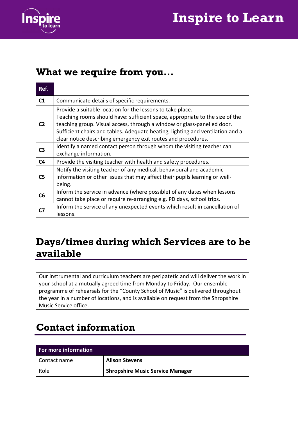

## Inspire to Learn

### What we require from you…

| Ref.           |                                                                                                                                                                                                                                                                                                                                                                          |  |
|----------------|--------------------------------------------------------------------------------------------------------------------------------------------------------------------------------------------------------------------------------------------------------------------------------------------------------------------------------------------------------------------------|--|
| C <sub>1</sub> | Communicate details of specific requirements.                                                                                                                                                                                                                                                                                                                            |  |
| C <sub>2</sub> | Provide a suitable location for the lessons to take place.<br>Teaching rooms should have: sufficient space, appropriate to the size of the<br>teaching group. Visual access, through a window or glass-panelled door.<br>Sufficient chairs and tables. Adequate heating, lighting and ventilation and a<br>clear notice describing emergency exit routes and procedures. |  |
| C <sub>3</sub> | Identify a named contact person through whom the visiting teacher can<br>exchange information.                                                                                                                                                                                                                                                                           |  |
| C <sub>4</sub> | Provide the visiting teacher with health and safety procedures.                                                                                                                                                                                                                                                                                                          |  |
| C <sub>5</sub> | Notify the visiting teacher of any medical, behavioural and academic<br>information or other issues that may affect their pupils learning or well-<br>being.                                                                                                                                                                                                             |  |
| C <sub>6</sub> | Inform the service in advance (where possible) of any dates when lessons<br>cannot take place or require re-arranging e.g. PD days, school trips.                                                                                                                                                                                                                        |  |
| C7             | Inform the service of any unexpected events which result in cancellation of<br>lessons.                                                                                                                                                                                                                                                                                  |  |

## Days/times during which Services are to be available

Our instrumental and curriculum teachers are peripatetic and will deliver the work in your school at a mutually agreed time from Monday to Friday. Our ensemble programme of rehearsals for the "County School of Music" is delivered throughout the year in a number of locations, and is available on request from the Shropshire Music Service office.

## Contact information

| For more information |                                         |  |  |  |
|----------------------|-----------------------------------------|--|--|--|
| Contact name         | <b>Alison Stevens</b>                   |  |  |  |
| Role                 | <b>Shropshire Music Service Manager</b> |  |  |  |